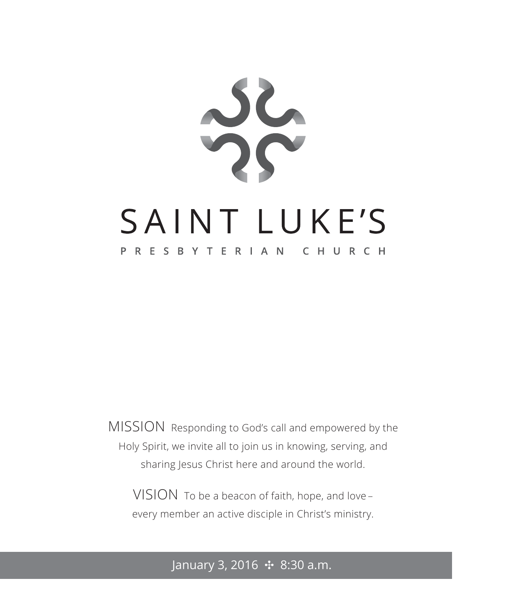

MISSION Responding to God's call and empowered by the Holy Spirit, we invite all to join us in knowing, serving, and sharing Jesus Christ here and around the world.

VISION To be a beacon of faith, hope, and love – every member an active disciple in Christ's ministry.

January 3, 2016 ✣ 8:30 a.m.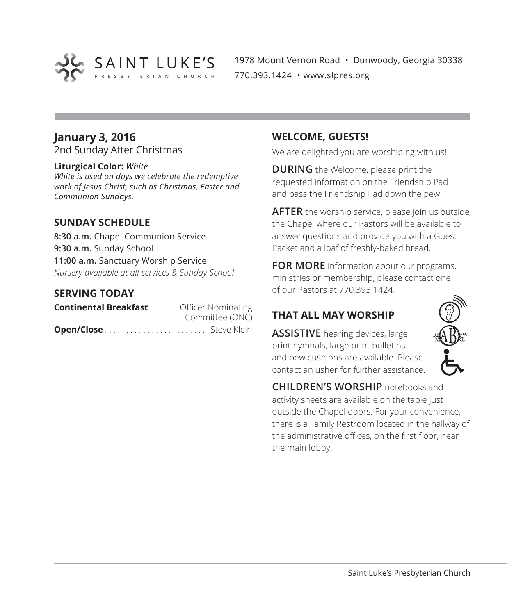

1978 Mount Vernon Road • Dunwoody, Georgia 30338 770.393.1424 • www.slpres.org

# **January 3, 2016**

2nd Sunday After Christmas

#### **Liturgical Color:** *White*

*White is used on days we celebrate the redemptive work of Jesus Christ, such as Christmas, Easter and Communion Sundays.*

#### **SUNDAY SCHEDULE**

**8:30 a.m.** Chapel Communion Service **9:30 a.m.** Sunday School **11:00 a.m.** Sanctuary Worship Service *Nursery available at all services & Sunday School*

#### **SERVING TODAY**

| <b>Continental Breakfast</b> Officer Nominating |                 |
|-------------------------------------------------|-----------------|
|                                                 | Committee (ONC) |
|                                                 |                 |

#### **WELCOME, GUESTS!**

We are delighted you are worshiping with us!

**DURING** the Welcome, please print the requested information on the Friendship Pad and pass the Friendship Pad down the pew.

**AFTER** the worship service, please join us outside the Chapel where our Pastors will be available to answer questions and provide you with a Guest Packet and a loaf of freshly-baked bread.

**FOR MORE** information about our programs, ministries or membership, please contact one of our Pastors at 770.393.1424.

# **THAT ALL MAY WORSHIP**

**ASSISTIVE** hearing devices, large print hymnals, large print bulletins and pew cushions are available. Please contact an usher for further assistance.



**CHILDREN'S WORSHIP** notebooks and activity sheets are available on the table just outside the Chapel doors. For your convenience, there is a Family Restroom located in the hallway of the administrative offices, on the first floor, near the main lobby.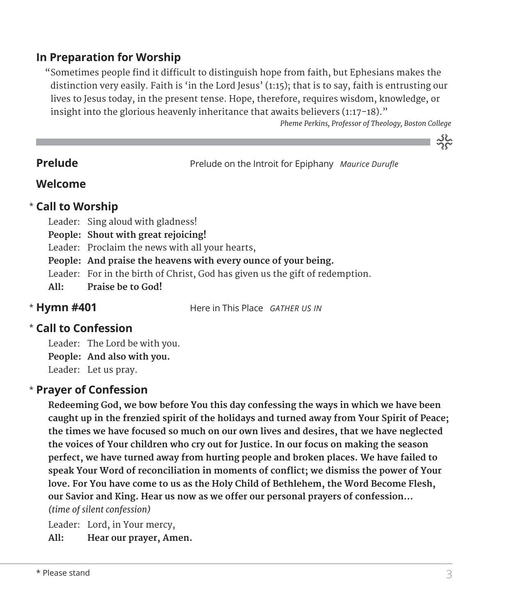# **In Preparation for Worship**

 "Sometimes people find it difficult to distinguish hope from faith, but Ephesians makes the distinction very easily. Faith is 'in the Lord Jesus' (1:15); that is to say, faith is entrusting our lives to Jesus today, in the present tense. Hope, therefore, requires wisdom, knowledge, or insight into the glorious heavenly inheritance that awaits believers  $(1:17-18)$ ."

*Pheme Perkins, Professor of Theology, Boston College*

သိုင်္

**Prelude** Prelude on the Introit for Epiphany *Maurice Durufle* 

# **Welcome**

# **Call to Worship** \*

- Leader: Sing aloud with gladness!
- **People: Shout with great rejoicing!**
- Leader: Proclaim the news with all your hearts,
- **People: And praise the heavens with every ounce of your being.**
- Leader: For in the birth of Christ, God has given us the gift of redemption.
- **All: Praise be to God!**

**Hymn #401** Here in This Place *GATHER US IN*

# **Call to Confession**  \*

\* Hymn #401

Leader: The Lord be with you. **People: And also with you.** Leader: Let us pray.

# **Prayer of Confession**  \*

 **Redeeming God, we bow before You this day confessing the ways in which we have been caught up in the frenzied spirit of the holidays and turned away from Your Spirit of Peace; the times we have focused so much on our own lives and desires, that we have neglected the voices of Your children who cry out for Justice. In our focus on making the season perfect, we have turned away from hurting people and broken places. We have failed to speak Your Word of reconciliation in moments of conflict; we dismiss the power of Your love. For You have come to us as the Holy Child of Bethlehem, the Word Become Flesh, our Savior and King. Hear us now as we offer our personal prayers of confession…**  *(time of silent confession)*

Leader: Lord, in Your mercy,

**All: Hear our prayer, Amen.**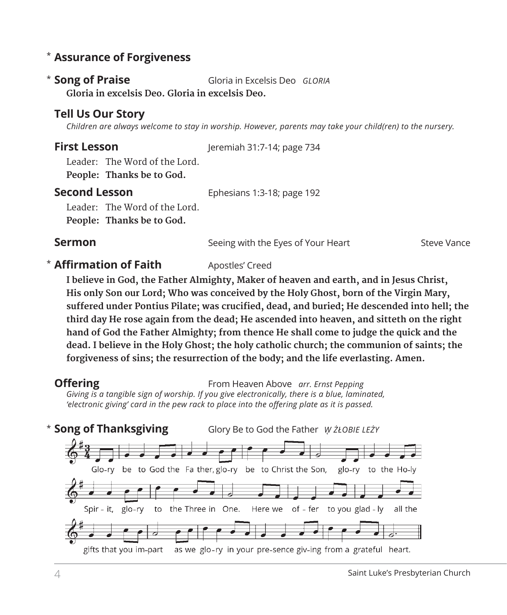# **Assurance of Forgiveness** \*

**Song of Praise** Gloria in Excelsis Deo *GLORIA*  **Gloria in excelsis Deo. Gloria in excelsis Deo.** \* Song of Praise

### **Tell Us Our Story**

*Children are always welcome to stay in worship. However, parents may take your child(ren) to the nursery.* 

**First Lesson** Jeremiah 31:7-14; page 734

Leader: The Word of the Lord. **People: Thanks be to God.** 

# **Second Lesson** Ephesians 1:3-18; page 192

Leader: The Word of the Lord.

#### **People: Thanks be to God.**

**Sermon** Seeing with the Eyes of Your Heart Steve Vance

#### **\* Affirmation of Faith** Apostles' Creed

 **I believe in God, the Father Almighty, Maker of heaven and earth, and in Jesus Christ, His only Son our Lord; Who was conceived by the Holy Ghost, born of the Virgin Mary, suffered under Pontius Pilate; was crucified, dead, and buried; He descended into hell; the third day He rose again from the dead; He ascended into heaven, and sitteth on the right hand of God the Father Almighty; from thence He shall come to judge the quick and the dead. I believe in the Holy Ghost; the holy catholic church; the communion of saints; the forgiveness of sins; the resurrection of the body; and the life everlasting. Amen.**

**Offering** From Heaven Above *arr. Ernst Pepping Giving is a tangible sign of worship. If you give electronically, there is a blue, laminated, 'electronic giving' card in the pew rack to place into the offering plate as it is passed.* 

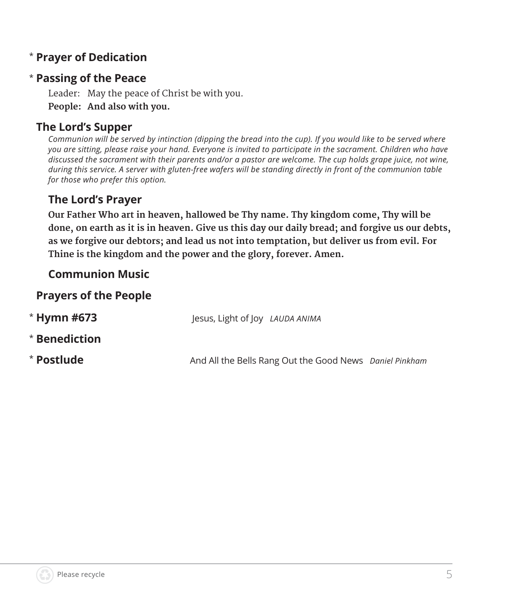# **Prayer of Dedication** \*

# **Passing of the Peace** \*

Leader: May the peace of Christ be with you. **People: And also with you.**

# **The Lord's Supper**

*Communion will be served by intinction (dipping the bread into the cup). If you would like to be served where you are sitting, please raise your hand. Everyone is invited to participate in the sacrament. Children who have discussed the sacrament with their parents and/or a pastor are welcome. The cup holds grape juice, not wine, during this service. A server with gluten-free wafers will be standing directly in front of the communion table for those who prefer this option.*

# **The Lord's Prayer**

 **Our Father Who art in heaven, hallowed be Thy name. Thy kingdom come, Thy will be done, on earth as it is in heaven. Give us this day our daily bread; and forgive us our debts, as we forgive our debtors; and lead us not into temptation, but deliver us from evil. For Thine is the kingdom and the power and the glory, forever. Amen.**

# **Communion Music**

### **Prayers of the People**

| $*$ Hymn #673 | Jesus, Light of Joy LAUDA ANIMA                         |  |
|---------------|---------------------------------------------------------|--|
| * Benediction |                                                         |  |
| * Postlude    | And All the Bells Rang Out the Good News Daniel Pinkham |  |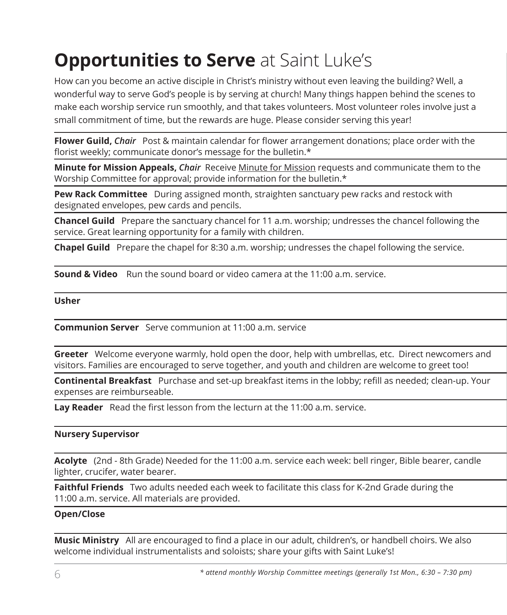# **Opportunities to Serve** at Saint Luke's

How can you become an active disciple in Christ's ministry without even leaving the building? Well, a wonderful way to serve God's people is by serving at church! Many things happen behind the scenes to make each worship service run smoothly, and that takes volunteers. Most volunteer roles involve just a small commitment of time, but the rewards are huge. Please consider serving this year!

**Flower Guild,** *Chair*Post & maintain calendar for flower arrangement donations; place order with the florist weekly; communicate donor's message for the bulletin.\*

**Minute for Mission Appeals,** *Chair*Receive Minute for Mission requests and communicate them to the Worship Committee for approval; provide information for the bulletin.\*

**Pew Rack Committee** During assigned month, straighten sanctuary pew racks and restock with designated envelopes, pew cards and pencils.

**Chancel Guild** Prepare the sanctuary chancel for 11 a.m. worship; undresses the chancel following the service. Great learning opportunity for a family with children.

**Chapel Guild** Prepare the chapel for 8:30 a.m. worship; undresses the chapel following the service.

**Sound & Video** Run the sound board or video camera at the 11:00 a.m. service.

**Usher**

**Communion Server** Serve communion at 11:00 a.m. service

**Greeter** Welcome everyone warmly, hold open the door, help with umbrellas, etc. Direct newcomers and visitors. Families are encouraged to serve together, and youth and children are welcome to greet too!

**Continental Breakfast** Purchase and set-up breakfast items in the lobby; refill as needed; clean-up. Your expenses are reimburseable.

**Lay Reader** Read the first lesson from the lecturn at the 11:00 a.m. service.

#### **Nursery Supervisor**

**Acolyte** (2nd - 8th Grade) Needed for the 11:00 a.m. service each week: bell ringer, Bible bearer, candle lighter, crucifer, water bearer.

**Faithful Friends** Two adults needed each week to facilitate this class for K-2nd Grade during the 11:00 a.m. service. All materials are provided.

#### **Open/Close**

**Music Ministry** All are encouraged to find a place in our adult, children's, or handbell choirs. We also welcome individual instrumentalists and soloists; share your gifts with Saint Luke's!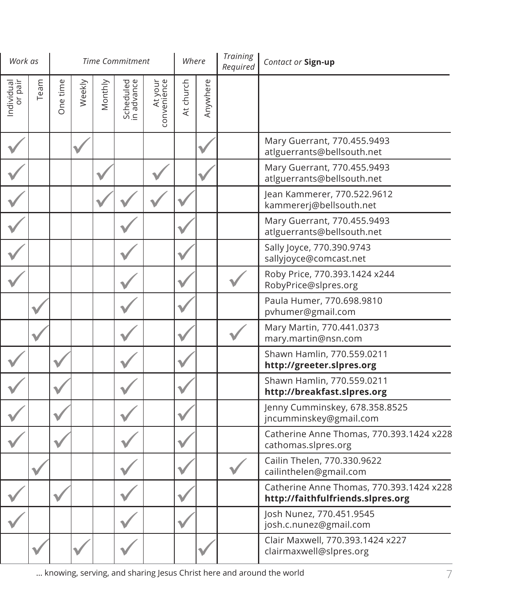| Work as               |      |          |        |         | <b>Time Commitment</b>  |                        | Where     |          | <b>Training</b><br>Required | Contact or Sign-up                                                            |
|-----------------------|------|----------|--------|---------|-------------------------|------------------------|-----------|----------|-----------------------------|-------------------------------------------------------------------------------|
| Individual<br>or pair | Team | One time | Weekly | Monthly | Scheduled<br>in advance | At your<br>convenience | At church | Anywhere |                             |                                                                               |
|                       |      |          |        |         |                         |                        |           |          |                             | Mary Guerrant, 770.455.9493<br>atlguerrants@bellsouth.net                     |
|                       |      |          |        |         |                         |                        |           |          |                             | Mary Guerrant, 770.455.9493<br>atlguerrants@bellsouth.net                     |
|                       |      |          |        |         |                         |                        |           |          |                             | Jean Kammerer, 770.522.9612<br>kammererj@bellsouth.net                        |
|                       |      |          |        |         |                         |                        |           |          |                             | Mary Guerrant, 770.455.9493<br>atlguerrants@bellsouth.net                     |
|                       |      |          |        |         |                         |                        |           |          |                             | Sally Joyce, 770.390.9743<br>sallyjoyce@comcast.net                           |
|                       |      |          |        |         |                         |                        |           |          |                             | Roby Price, 770.393.1424 x244<br>RobyPrice@slpres.org                         |
|                       |      |          |        |         |                         |                        |           |          |                             | Paula Humer, 770.698.9810<br>pvhumer@gmail.com                                |
|                       |      |          |        |         |                         |                        |           |          |                             | Mary Martin, 770.441.0373<br>mary.martin@nsn.com                              |
|                       |      |          |        |         |                         |                        |           |          |                             | Shawn Hamlin, 770.559.0211<br>http://greeter.slpres.org                       |
|                       |      |          |        |         |                         |                        |           |          |                             | Shawn Hamlin, 770.559.0211<br>http://breakfast.slpres.org                     |
|                       |      |          |        |         |                         |                        |           |          |                             | Jenny Cumminskey, 678.358.8525<br>jncumminskey@gmail.com                      |
|                       |      |          |        |         |                         |                        |           |          |                             | Catherine Anne Thomas, 770.393.1424 x228<br>cathomas.slpres.org               |
|                       |      |          |        |         |                         |                        |           |          |                             | Cailin Thelen, 770.330.9622<br>cailinthelen@gmail.com                         |
|                       |      |          |        |         |                         |                        |           |          |                             | Catherine Anne Thomas, 770.393.1424 x228<br>http://faithfulfriends.slpres.org |
|                       |      |          |        |         |                         |                        |           |          |                             | Josh Nunez, 770.451.9545<br>josh.c.nunez@gmail.com                            |
|                       |      |          |        |         |                         |                        |           |          |                             | Clair Maxwell, 770.393.1424 x227<br>clairmaxwell@slpres.org                   |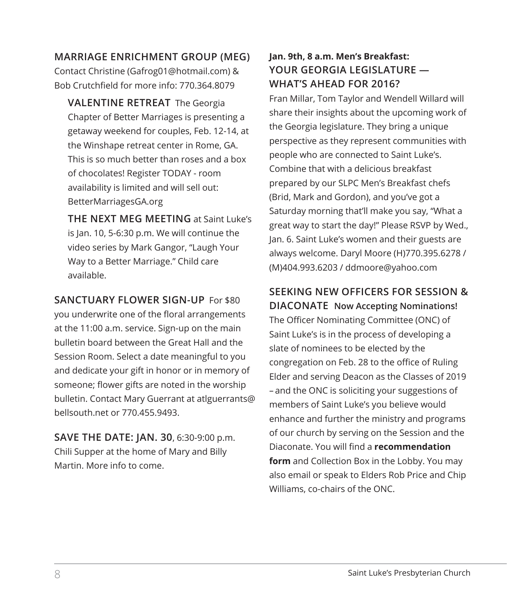#### **MARRIAGE ENRICHMENT GROUP (MEG)**

Contact Christine (Gafrog01@hotmail.com) & Bob Crutchfield for more info: 770.364.8079

**VALENTINE RETREAT** The Georgia Chapter of Better Marriages is presenting a getaway weekend for couples, Feb. 12-14, at the Winshape retreat center in Rome, GA. This is so much better than roses and a box of chocolates! Register TODAY - room availability is limited and will sell out: BetterMarriagesGA.org

**THE NEXT MEG MEETING** at Saint Luke's is Jan. 10, 5-6:30 p.m. We will continue the video series by Mark Gangor, "Laugh Your Way to a Better Marriage." Child care available.

#### **SANCTUARY FLOWER SIGN-UP** For \$80

you underwrite one of the floral arrangements at the 11:00 a.m. service. Sign-up on the main bulletin board between the Great Hall and the Session Room. Select a date meaningful to you and dedicate your gift in honor or in memory of someone; flower gifts are noted in the worship bulletin. Contact Mary Guerrant at atlguerrants@ bellsouth.net or 770.455.9493.

**SAVE THE DATE: JAN. 30**, 6:30-9:00 p.m. Chili Supper at the home of Mary and Billy Martin. More info to come.

# **Jan. 9th, 8 a.m. Men's Breakfast: YOUR GEORGIA LEGISLATURE — WHAT'S AHEAD FOR 2016?**

Fran Millar, Tom Taylor and Wendell Willard will share their insights about the upcoming work of the Georgia legislature. They bring a unique perspective as they represent communities with people who are connected to Saint Luke's. Combine that with a delicious breakfast prepared by our SLPC Men's Breakfast chefs (Brid, Mark and Gordon), and you've got a Saturday morning that'll make you say, "What a great way to start the day!" Please RSVP by Wed., Jan. 6. Saint Luke's women and their guests are always welcome. Daryl Moore (H)770.395.6278 / (M)404.993.6203 / ddmoore@yahoo.com

# **SEEKING NEW OFFICERS FOR SESSION &**

**DIACONATE Now Accepting Nominations!** The Officer Nominating Committee (ONC) of Saint Luke's is in the process of developing a slate of nominees to be elected by the congregation on Feb. 28 to the office of Ruling Elder and serving Deacon as the Classes of 2019 – and the ONC is soliciting your suggestions of members of Saint Luke's you believe would enhance and further the ministry and programs of our church by serving on the Session and the Diaconate. You will find a **recommendation form** and Collection Box in the Lobby. You may also email or speak to Elders Rob Price and Chip Williams, co-chairs of the ONC.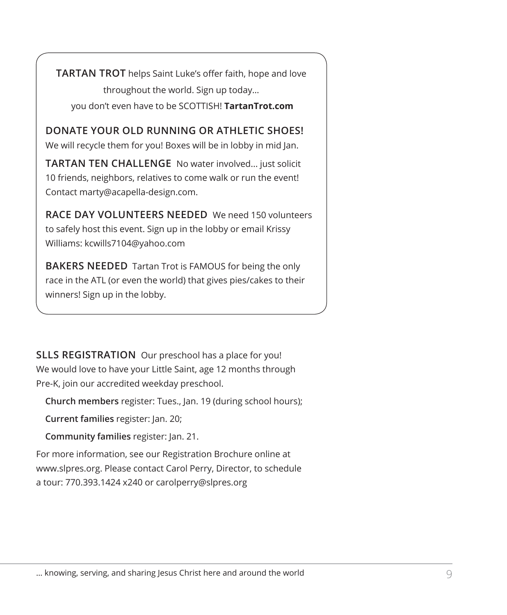**TARTAN TROT** helps Saint Luke's offer faith, hope and love throughout the world. Sign up today… you don't even have to be SCOTTISH! **TartanTrot.com**

**DONATE YOUR OLD RUNNING OR ATHLETIC SHOES!** We will recycle them for you! Boxes will be in lobby in mid Jan.

**TARTAN TEN CHALLENGE** No water involved... just solicit 10 friends, neighbors, relatives to come walk or run the event! Contact marty@acapella-design.com.

**RACE DAY VOLUNTEERS NEEDED** We need 150 volunteers to safely host this event. Sign up in the lobby or email Krissy Williams: kcwills7104@yahoo.com

**BAKERS NEEDED** Tartan Trot is FAMOUS for being the only race in the ATL (or even the world) that gives pies/cakes to their winners! Sign up in the lobby.

**SLLS REGISTRATION** Our preschool has a place for you! We would love to have your Little Saint, age 12 months through Pre-K, join our accredited weekday preschool.

**Church members** register: Tues., Jan. 19 (during school hours);

**Current families** register: Jan. 20;

**Community families** register: Jan. 21.

For more information, see our Registration Brochure online at www.slpres.org. Please contact Carol Perry, Director, to schedule a tour: 770.393.1424 x240 or carolperry@slpres.org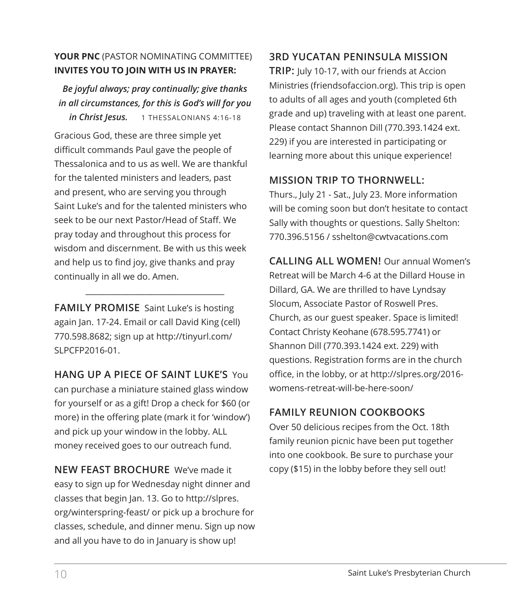### **YOUR PNC** (PASTOR NOMINATING COMMITTEE) **INVITES YOU TO JOIN WITH US IN PRAYER:**

*Be joyful always; pray continually; give thanks in all circumstances, for this is God's will for you in Christ Jesus.* 1 THESSALONIANS 4:16-18

Gracious God, these are three simple yet difficult commands Paul gave the people of Thessalonica and to us as well. We are thankful for the talented ministers and leaders, past and present, who are serving you through Saint Luke's and for the talented ministers who seek to be our next Pastor/Head of Staff. We pray today and throughout this process for wisdom and discernment. Be with us this week and help us to find joy, give thanks and pray continually in all we do. Amen.

**FAMILY PROMISE** Saint Luke's is hosting again Jan. 17-24. Email or call David King (cell) 770.598.8682; sign up at http://tinyurl.com/ SLPCFP2016-01.

\_\_\_\_\_\_\_\_\_\_\_\_\_\_\_\_\_\_\_\_\_\_\_\_\_\_\_\_\_\_\_\_\_\_\_

**HANG UP A PIECE OF SAINT LUKE'S** You can purchase a miniature stained glass window for yourself or as a gift! Drop a check for \$60 (or more) in the offering plate (mark it for 'window') and pick up your window in the lobby. ALL money received goes to our outreach fund.

**NEW FEAST BROCHURE** We've made it easy to sign up for Wednesday night dinner and classes that begin Jan. 13. Go to http://slpres. org/winterspring-feast/ or pick up a brochure for classes, schedule, and dinner menu. Sign up now and all you have to do in January is show up!

# **3RD YUCATAN PENINSULA MISSION**

**TRIP:** July 10-17, with our friends at Accion Ministries (friendsofaccion.org). This trip is open to adults of all ages and youth (completed 6th grade and up) traveling with at least one parent. Please contact Shannon Dill (770.393.1424 ext. 229) if you are interested in participating or learning more about this unique experience!

### **MISSION TRIP TO THORNWELL:**

Thurs., July 21 - Sat., July 23. More information will be coming soon but don't hesitate to contact Sally with thoughts or questions. Sally Shelton: 770.396.5156 / sshelton@cwtvacations.com

**CALLING ALL WOMEN!** Our annual Women's Retreat will be March 4-6 at the Dillard House in Dillard, GA. We are thrilled to have Lyndsay Slocum, Associate Pastor of Roswell Pres. Church, as our guest speaker. Space is limited! Contact Christy Keohane (678.595.7741) or Shannon Dill (770.393.1424 ext. 229) with questions. Registration forms are in the church office, in the lobby, or at http://slpres.org/2016 womens-retreat-will-be-here-soon/

# **FAMILY REUNION COOKBOOKS**

Over 50 delicious recipes from the Oct. 18th family reunion picnic have been put together into one cookbook. Be sure to purchase your copy (\$15) in the lobby before they sell out!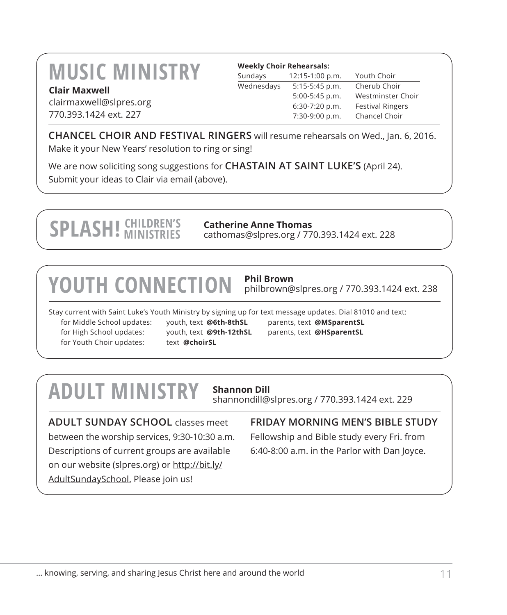# **MUSIC MINISTRY Clair Maxwell**

| <b>Weekly Choir Rehearsals:</b> |                 |
|---------------------------------|-----------------|
| Sundays                         | 12:15-1:00 p.m. |
| Wednesdays                      | 5:15-5:45 p.m.  |

clairmaxwell@slpres.org 770.393.1424 ext. 227

Youth Choir Cherub Choir 5:00-5:45 p.m. Westminster Choir 6:30-7:20 p.m. Festival Ringers 7:30-9:00 p.m. Chancel Choir

**CHANCEL CHOIR AND FESTIVAL RINGERS** will resume rehearsals on Wed., Jan. 6, 2016. Make it your New Years' resolution to ring or sing!

We are now soliciting song suggestions for **CHASTAIN AT SAINT LUKE'S** (April 24). Submit your ideas to Clair via email (above).

# **SPLASH!** CHILDREN'S

**Catherine Anne Thomas** cathomas@slpres.org / 770.393.1424 ext. 228

# **YOUTH CONNECTION Phil Brown**

philbrown@slpres.org / 770.393.1424 ext. 238

Stay current with Saint Luke's Youth Ministry by signing up for text message updates. Dial 81010 and text: for Middle School updates: youth, text **@6th-8thSL** parents, text **@MSparentSL** for High School updates: youth, text **@9th-12thSL** parents, text **@HSparentSL** for Youth Choir updates: text @choirSL

# **ADULT MINISTRY Shannon Dill**

shannondill@slpres.org / 770.393.1424 ext. 229

**ADULT SUNDAY SCHOOL** classes meet between the worship services, 9:30-10:30 a.m. Descriptions of current groups are available on our website (slpres.org) or http://bit.ly/ AdultSundaySchool. Please join us!

**FRIDAY MORNING MEN'S BIBLE STUDY** 

Fellowship and Bible study every Fri. from 6:40-8:00 a.m. in the Parlor with Dan Joyce.